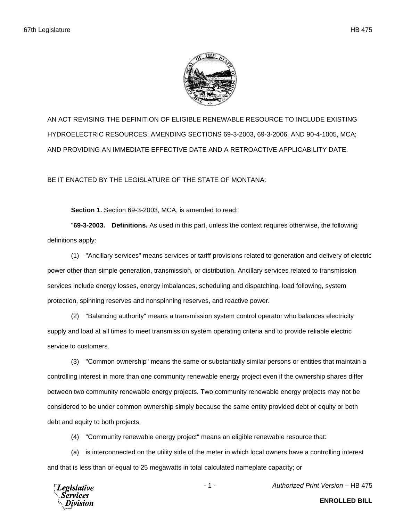

AN ACT REVISING THE DEFINITION OF ELIGIBLE RENEWABLE RESOURCE TO INCLUDE EXISTING HYDROELECTRIC RESOURCES; AMENDING SECTIONS 69-3-2003, 69-3-2006, AND 90-4-1005, MCA; AND PROVIDING AN IMMEDIATE EFFECTIVE DATE AND A RETROACTIVE APPLICABILITY DATE.

BE IT ENACTED BY THE LEGISLATURE OF THE STATE OF MONTANA:

**Section 1.** Section 69-3-2003, MCA, is amended to read:

"**69-3-2003. Definitions.** As used in this part, unless the context requires otherwise, the following definitions apply:

(1) "Ancillary services" means services or tariff provisions related to generation and delivery of electric power other than simple generation, transmission, or distribution. Ancillary services related to transmission services include energy losses, energy imbalances, scheduling and dispatching, load following, system protection, spinning reserves and nonspinning reserves, and reactive power.

(2) "Balancing authority" means a transmission system control operator who balances electricity supply and load at all times to meet transmission system operating criteria and to provide reliable electric service to customers.

(3) "Common ownership" means the same or substantially similar persons or entities that maintain a controlling interest in more than one community renewable energy project even if the ownership shares differ between two community renewable energy projects. Two community renewable energy projects may not be considered to be under common ownership simply because the same entity provided debt or equity or both debt and equity to both projects.

(4) "Community renewable energy project" means an eligible renewable resource that:

(a) is interconnected on the utility side of the meter in which local owners have a controlling interest and that is less than or equal to 25 megawatts in total calculated nameplate capacity; or

egislative

**ENROLLED BILL**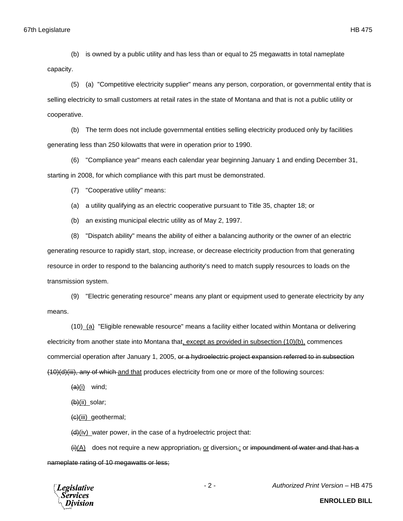(b) is owned by a public utility and has less than or equal to 25 megawatts in total nameplate capacity.

(5) (a) "Competitive electricity supplier" means any person, corporation, or governmental entity that is selling electricity to small customers at retail rates in the state of Montana and that is not a public utility or cooperative.

(b) The term does not include governmental entities selling electricity produced only by facilities generating less than 250 kilowatts that were in operation prior to 1990.

(6) "Compliance year" means each calendar year beginning January 1 and ending December 31, starting in 2008, for which compliance with this part must be demonstrated.

(7) "Cooperative utility" means:

(a) a utility qualifying as an electric cooperative pursuant to Title 35, chapter 18; or

(b) an existing municipal electric utility as of May 2, 1997.

(8) "Dispatch ability" means the ability of either a balancing authority or the owner of an electric generating resource to rapidly start, stop, increase, or decrease electricity production from that generating resource in order to respond to the balancing authority's need to match supply resources to loads on the transmission system.

(9) "Electric generating resource" means any plant or equipment used to generate electricity by any means.

(10) (a) "Eligible renewable resource" means a facility either located within Montana or delivering electricity from another state into Montana that, except as provided in subsection (10)(b), commences commercial operation after January 1, 2005, or a hydroelectric project expansion referred to in subsection (10)(d)(iii), any of which and that produces electricity from one or more of the following sources:

 $(a)(i)$  wind;

 $(b)(ii)$  solar;

(c)(iii) geothermal;

 $(d)$ (iv) water power, in the case of a hydroelectric project that:

 $(H)(A)$  does not require a new appropriation, or diversion, or impoundment of water and that has a nameplate rating of 10 megawatts or less;



- 2 - *Authorized Print Version* – HB 475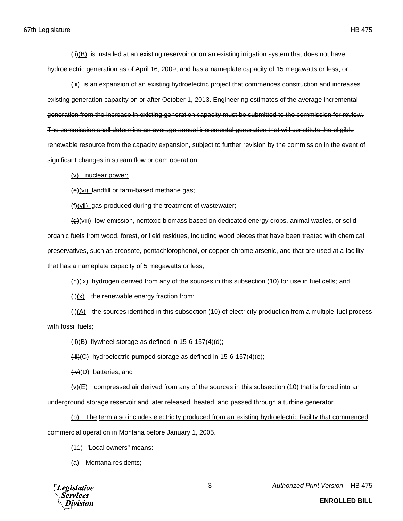(iii) is an expansion of an existing hydroelectric project that commences construction and increases existing generation capacity on or after October 1, 2013. Engineering estimates of the average incremental generation from the increase in existing generation capacity must be submitted to the commission for review. The commission shall determine an average annual incremental generation that will constitute the eligible renewable resource from the capacity expansion, subject to further revision by the commission in the event of significant changes in stream flow or dam operation.

(v) nuclear power;

 $(e)(vi)$  landfill or farm-based methane gas;

 $(f)(vii)$  gas produced during the treatment of wastewater;

 $\left(\frac{q}{r}\right)$ (viii) low-emission, nontoxic biomass based on dedicated energy crops, animal wastes, or solid organic fuels from wood, forest, or field residues, including wood pieces that have been treated with chemical preservatives, such as creosote, pentachlorophenol, or copper-chrome arsenic, and that are used at a facility that has a nameplate capacity of 5 megawatts or less;

 $(h)(ix)$  hydrogen derived from any of the sources in this subsection (10) for use in fuel cells; and

 $\frac{f(x)}{f(x)}$  the renewable energy fraction from:

 $\frac{H(A)}{A}$  the sources identified in this subsection (10) of electricity production from a multiple-fuel process with fossil fuels;

 $\overline{\text{iii}}(B)$  flywheel storage as defined in 15-6-157(4)(d);

 $\overline{(\overline{iii})(C)}$  hydroelectric pumped storage as defined in 15-6-157(4)(e);

 $(iv)(D)$  batteries; and

 $\left(\frac{y}{E}\right)$  compressed air derived from any of the sources in this subsection (10) that is forced into an

underground storage reservoir and later released, heated, and passed through a turbine generator.

(b) The term also includes electricity produced from an existing hydroelectric facility that commenced commercial operation in Montana before January 1, 2005.

- (11) "Local owners" means:
- (a) Montana residents;



- 3 - *Authorized Print Version* – HB 475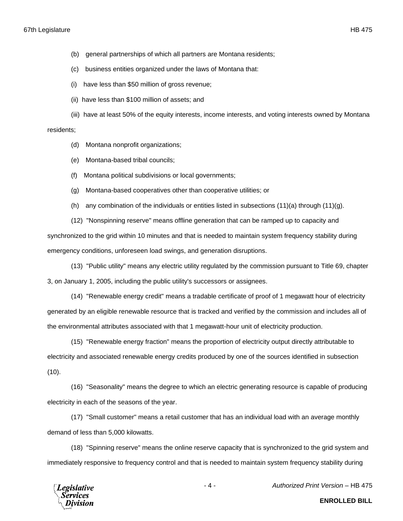- (b) general partnerships of which all partners are Montana residents;
- (c) business entities organized under the laws of Montana that:
- (i) have less than \$50 million of gross revenue;
- (ii) have less than \$100 million of assets; and

(iii) have at least 50% of the equity interests, income interests, and voting interests owned by Montana residents;

- (d) Montana nonprofit organizations;
- (e) Montana-based tribal councils;
- (f) Montana political subdivisions or local governments;
- (g) Montana-based cooperatives other than cooperative utilities; or
- (h) any combination of the individuals or entities listed in subsections  $(11)(a)$  through  $(11)(g)$ .

(12) "Nonspinning reserve" means offline generation that can be ramped up to capacity and synchronized to the grid within 10 minutes and that is needed to maintain system frequency stability during emergency conditions, unforeseen load swings, and generation disruptions.

(13) "Public utility" means any electric utility regulated by the commission pursuant to Title 69, chapter 3, on January 1, 2005, including the public utility's successors or assignees.

(14) "Renewable energy credit" means a tradable certificate of proof of 1 megawatt hour of electricity generated by an eligible renewable resource that is tracked and verified by the commission and includes all of the environmental attributes associated with that 1 megawatt-hour unit of electricity production.

(15) "Renewable energy fraction" means the proportion of electricity output directly attributable to electricity and associated renewable energy credits produced by one of the sources identified in subsection  $(10).$ 

(16) "Seasonality" means the degree to which an electric generating resource is capable of producing electricity in each of the seasons of the year.

(17) "Small customer" means a retail customer that has an individual load with an average monthly demand of less than 5,000 kilowatts.

(18) "Spinning reserve" means the online reserve capacity that is synchronized to the grid system and immediately responsive to frequency control and that is needed to maintain system frequency stability during



- 4 - *Authorized Print Version* – HB 475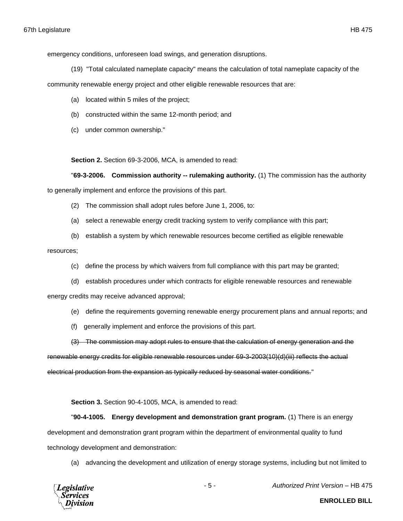emergency conditions, unforeseen load swings, and generation disruptions.

(19) "Total calculated nameplate capacity" means the calculation of total nameplate capacity of the

community renewable energy project and other eligible renewable resources that are:

- (a) located within 5 miles of the project;
- (b) constructed within the same 12-month period; and
- (c) under common ownership."

**Section 2.** Section 69-3-2006, MCA, is amended to read:

"**69-3-2006. Commission authority -- rulemaking authority.** (1) The commission has the authority to generally implement and enforce the provisions of this part.

- (2) The commission shall adopt rules before June 1, 2006, to:
- (a) select a renewable energy credit tracking system to verify compliance with this part;
- (b) establish a system by which renewable resources become certified as eligible renewable

## resources;

- (c) define the process by which waivers from full compliance with this part may be granted;
- (d) establish procedures under which contracts for eligible renewable resources and renewable

energy credits may receive advanced approval;

- (e) define the requirements governing renewable energy procurement plans and annual reports; and
- (f) generally implement and enforce the provisions of this part.

(3) The commission may adopt rules to ensure that the calculation of energy generation and the

renewable energy credits for eligible renewable resources under 69-3-2003(10)(d)(iii) reflects the actual electrical production from the expansion as typically reduced by seasonal water conditions."

**Section 3.** Section 90-4-1005, MCA, is amended to read:

"**90-4-1005. Energy development and demonstration grant program.** (1) There is an energy development and demonstration grant program within the department of environmental quality to fund technology development and demonstration:

(a) advancing the development and utilization of energy storage systems, including but not limited to

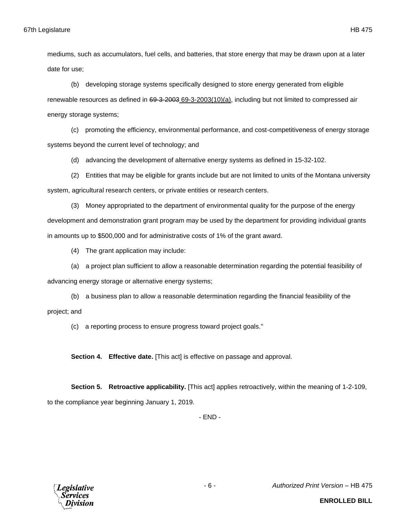mediums, such as accumulators, fuel cells, and batteries, that store energy that may be drawn upon at a later date for use;

(b) developing storage systems specifically designed to store energy generated from eligible renewable resources as defined in 69-3-2003 69-3-2003(10)(a), including but not limited to compressed air energy storage systems;

(c) promoting the efficiency, environmental performance, and cost-competitiveness of energy storage systems beyond the current level of technology; and

(d) advancing the development of alternative energy systems as defined in 15-32-102.

(2) Entities that may be eligible for grants include but are not limited to units of the Montana university system, agricultural research centers, or private entities or research centers.

(3) Money appropriated to the department of environmental quality for the purpose of the energy development and demonstration grant program may be used by the department for providing individual grants in amounts up to \$500,000 and for administrative costs of 1% of the grant award.

(4) The grant application may include:

(a) a project plan sufficient to allow a reasonable determination regarding the potential feasibility of

advancing energy storage or alternative energy systems;

(b) a business plan to allow a reasonable determination regarding the financial feasibility of the project; and

(c) a reporting process to ensure progress toward project goals."

**Section 4. Effective date.** [This act] is effective on passage and approval.

**Section 5. Retroactive applicability.** [This act] applies retroactively, within the meaning of 1-2-109, to the compliance year beginning January 1, 2019.

- END -



- 6 - *Authorized Print Version* – HB 475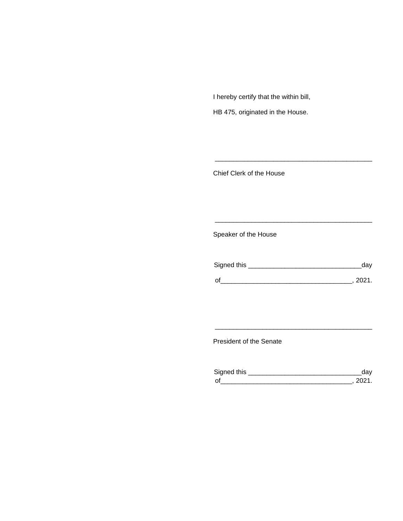I hereby certify that the within bill,

HB 475, originated in the House.

Chief Clerk of the House

Speaker of the House

| Signed this | dav  |
|-------------|------|
| $\Omega$    | 2021 |

\_\_\_\_\_\_\_\_\_\_\_\_\_\_\_\_\_\_\_\_\_\_\_\_\_\_\_\_\_\_\_\_\_\_\_\_\_\_\_\_\_\_\_

\_\_\_\_\_\_\_\_\_\_\_\_\_\_\_\_\_\_\_\_\_\_\_\_\_\_\_\_\_\_\_\_\_\_\_\_\_\_\_\_\_\_\_

President of the Senate

| Sianed this |  |
|-------------|--|
| $\Omega$    |  |

\_\_\_\_\_\_\_\_\_\_\_\_\_\_\_\_\_\_\_\_\_\_\_\_\_\_\_\_\_\_\_\_\_\_\_\_\_\_\_\_\_\_\_